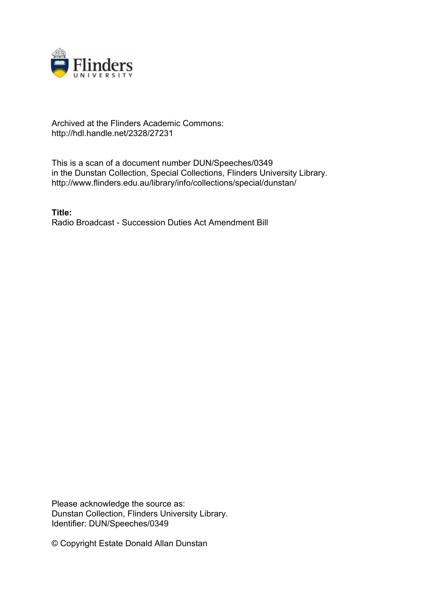

## Archived at the Flinders Academic Commons: http://hdl.handle.net/2328/27231

This is a scan of a document number DUN/Speeches/0349 in the Dunstan Collection, Special Collections, Flinders University Library. http://www.flinders.edu.au/library/info/collections/special/dunstan/

**Title:** Radio Broadcast - Succession Duties Act Amendment Bill

Please acknowledge the source as: Dunstan Collection, Flinders University Library. Identifier: DUN/Speeches/0349

© Copyright Estate Donald Allan Dunstan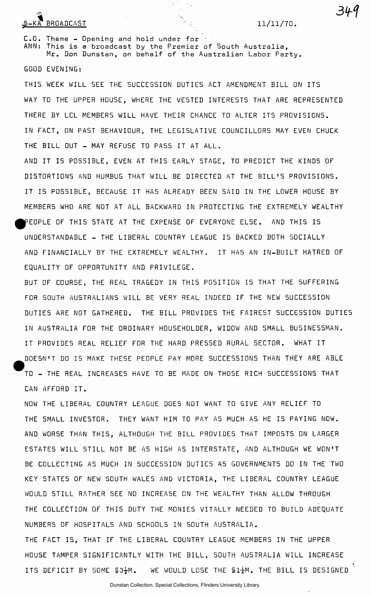## $5-KA$  BROADCAST  $11/11/70$ .

C.O. Theme — Opening and hold under for  $\gamma$ ANN: This is a broadcast by the Premier of South Australia,<br>Mr. Don Dunstan, on behalf of the Australian Labor Party. Mr. Don Dunstan, on behalf of the Australia n Labor Party .

GOOD EVENING:

WAY TO THE UPPER HOUSE, WHERE THE VESTED INTEREST S THE VESTED INTERFERENT S THAT ARE REPRESENTED INTERFERENT IN FACT, ON PAST BEHAVIOUR, THE LEGISLATIV E COUNCILLORS MAY EVEN CHUCK

AND I T I S POSSIBLE , EVEN AT THI S EARLY STAGE, TO PREDICT THE KINDS OF DISTORTIONS AND HUMBUG THAT WIL L BE DIRECTED AT THE BILL' S PROVISIONS. IT IS POSSIBLE, BECAUSE IT HAS ALREADY BEEN SAID IN THE LOWER HOUSE BY MEMBERS WHO ARE NOT AT ALL BACKWARD IN PROTECTING THE EXTREMELY WEALTHY PEOPLE OF THIS STATE AT THE EXPENSE OF EVERYONE ELSE. AND THIS IS UNDERSTANDABLE - THE LIBERAL COUNTRY LEAGUE I S BACKED BOTH SOCIALLY AND FINANCIALLY BY THE EXTREMELY WEALTHY. I T HAS AN IN-BUIL T HATRED OF EQUALITY OF OPPORTUNITY AND PRIVILEGE .

BUT OF COURSE, THE REAL TRAGEDY IN THIS POSITION IS THAT THE SUFFERING FOR 50UTH AUSTRALIANS WIL L BE VERY REAL INDEED I F THE NEW SUCCESSION DUTIES ARE NOT GATHERED. THE BILL PROVIDES THE FAIREST SUCCESSION DUTIES IN AUSTRALIA FOR THE ORDINARY HOUSEHOLDER, WIDOW AND SMALL BUSINESSMAN. IT PROVIDES REAL RELIEF FOR THE HARD PRESSED RURAL SECTOR. WHAT IT DOESN'T DO IS MAKE THESE PEOPLE PAY MORE SUCCESSIONS THAN THEY ARE ABLE TO - THE REAL INCREASES HAVE TO BE MADE ON THOSE RICH SUCCESSIONS THAT CAN AFFORD IT.

NOW THE LIBERAL COUNTRY LEAGUE DOES NOT WANT TO GIVE ANY RELIEF TO THE SMALL INVESTOR. THEY WANT HIM TO PAY AS MUCH AS HE IS PAYING NOW. AND WORSE THAN THIS, ALTHOUGH THE BILL PROVIDES THAT IMPOSTS ON LARGER ESTATES WILL STILL NOT BE AS HIGH AS INTERSTATE, AND ALTHOUGH WE WON'T BE COLLECTING AS MUCH IN SUCCESSION DUTIES AS GOVERNMENTS DO IN THE TWO KEY STATES OF NEW SOUTH WALES AND VICTORIA, THE LIBERAL COUNTRY LEAGUE WOULD STILL RATHER SEE NO INCREASE ON THE WEALTHY THAN ALLOW THROUGH THE COLLECTION OF THIS DUTY THE MONIES VITALLY NEEDED TO BUILD ADEQUATE NUMBERS OF HOSPITALS AND SCHOOLS IN SOUTH AUSTRALIA.

THE FACT IS. THAT IF THE LIBERAL COUNTRY LEAGUE MEMBERS IN THE UPPER HOUSE TAMPER SIGNIFICANTLY WITH THE BILL, SOUTH AUSTRALIA WILL INCREASE ITS DEFICIT BY SOME  $$3\frac{1}{2}M$ . WE WOULD LOSE THE  $$1\frac{1}{4}M$ . THE BILL IS DESIGNED

»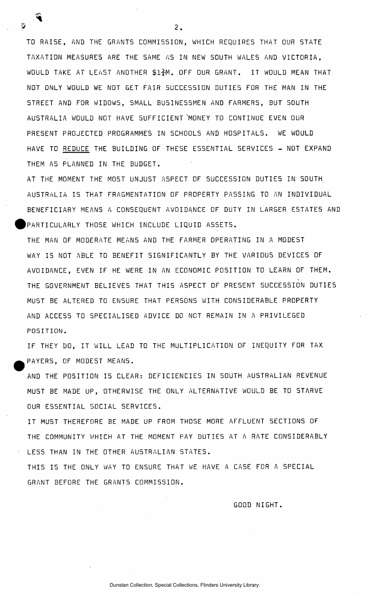TO RAISE, AND THE GRANTS COMMISSION, WHICH REQUIRES THAT OUR STATE TAXATION MEASURES ARE THE SAME AS IN NEW SOUTH WALES AND VICTORIA, WOULD TAKE AT LEAST ANOTHER \$17M. OFF OUR GRANT. IT WOULD MEAN THAT NOT ONLY WOULD WE NOT GET FAIR SUCCESSION DUTIES FOR THE MAN IN THE STREET AND FOR WIDOWS, SMALL BUSINESSMEN AND FARMERS, BUT SOUTH AUSTRALIA WOULD NOT HAVE SUFFICIENT MONEY TO CONTINUE EVEN OUR PRESENT PROJECTED PROGRAMMES IN SCHOOLS AND HOSPITALS. WE WOULD HAVE TO REDUCE THE BUILDING OF THESE ESSENTIAL SERVICES - NOT EXPAND THEM AS PLANNED IN THE BUDGET.

AT THE MOMENT THE MOST UNJUST ASPECT OF SUCCESSION DUTIES IN SOUTH AUSTRALIA IS THAT FRAGMENTATION OF PROPERTY PASSING TO AN INDIVIDUAL BENEFICIARY MEANS A CONSEQUENT AVOIDANCE OF DUTY IN LARGER ESTATES AND PARTICULARLY THOSE WHICH INCLUDE LIQUID ASSETS .

THE MAN OF MODERATE MEANS AND THE FARMER OPERATING IN A MODEST WAY IS NOT ABLE TO BENEFIT SIGNIFICANTLY BY THE VARIOUS DEVICES OF AVOIDANCE, EVEN IF HE WERE IN AN ECONOMIC POSITION TO LEARN OF THEM. THE GOVERNMENT BELIEVES THAT THIS ASPECT OF PRESENT SUCCESSION DUTIES MUST BE ALTERED TO ENSURE THAT PERSONS WITH CONSIDERABLE PROPERTY AND ACCESS TO SPECIALISED ADVICE DO NOT REMAIN IN A PRIVILEGED POSITION .

IF THEY DO, IT WILL LEAD TO THE MULTIPLICATION OF INEQUITY FOR TAX PAYERS, OF MODEST MEANS.

AND THE POSITION IS CLEAR: DEFICIENCIES IN SOUTH AUSTRALIAN REVENUE MUST BE MADE UP, OTHERWISE THE ONLY ALTERNATIVE WOULD BE TO STARVE OUR ESSENTIAL SOCIAL SERVICES .

I T MUST THEREFORE BE MADE UP FROM THOSE MORE AFFLUENT SECTIONS OF THE COMMUNITY WHICH AT THE MOMENT PAY DUTIES AT A RATE CONSIDERABLY LESS THAN IN THE OTHER AUSTRALIAN STATES.

THIS IS THE ONLY WAY TO ENSURE THAT WE HAVE A CASE FOR A SPECIAL GRANT BEFORE THE GRANTS COMMISSION.

**GOOD NIGHT.** 

 $2.$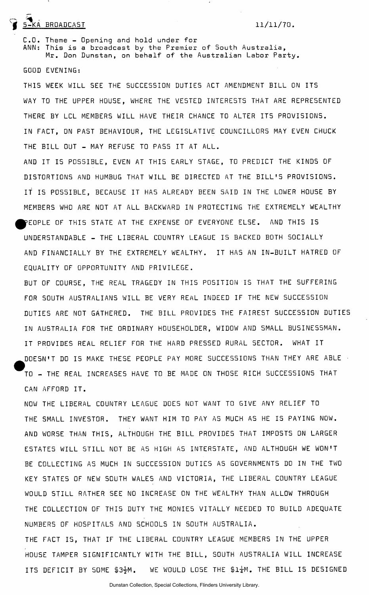## 5-KA BROADCAST 11/11/70 .

C.O. Theme - Opening and hold under for ANN: This is a broadcast by the Premier of South Australia,<br>Mr. Don Dunstan, on behalf of the Australian Labor Party. Mr. Don Dunstan, on behalf of the Australia n Labor Party .

GOOD EVENING:

THIS WEEK WILL SEE THE SUCCESSION DUTIES ACT AMENDMENT BILL ON ITS WAY TO THE UPPER HOUSE, WHERE THE VESTED INTEREST S THE VESTED INTERFERENT S THAT ARE REPRESENTED INTERFERENT IN FACT, ON PAST BEHAVIOUR, THE LEGISLATIV E COUNCILLORS MAY EVEN CHUCK

AND I T I S POSSIBLE , EVEN AT THIS POSSIBLE , EVEN AT THIS EXPLORER , EVEN AT THIS POSSIBLE , THE KINDS OF  $\mathbb{R}^n$ I T I S POSSIBLE , BECAUSE I T HAS ALREADY BEEN SAID IN THE LOWER HOUSE BY HAS ALREADY BY A LARCADY BY AN ALREADY AND THIS IS |>EOPLE OF THI S STATE AT THE EXPENSE OF EVERYONE ELSE . AND THI S I S UNDERSTANDABLE - THE LIBERAL COUNTRY LEAGUE I S BACKED BOTH SOCIALLY IT HAS AN IN-BUILT HATRED OF AND FINANCIALLY BY THE EXTREMELY WEALTHY. I T HAS AN IN-BUIL T HATRED OF EQUALITY OF OPPORTUNITY AND PRIVILEGE .

BUT OF COURSE, THE REAL TRAGEDY IN THIS POSITION IS THAT THE SUFFERING DUTIE S ARE NOT GATHERED. THE BIL L PROVIDES THE FAIRE5 T SUCCESSION DUTIE S IN AUSTRALIA FOR THE ORDINARY HOUSEHOLDER, WIDOW AND SMALL BUSINESSMAN. I T PROVIDES REAL REAL RELIEVE FOR THE HARD PRESSED REAL RELIEVE SECTOR. WHAT I THE HARD PRESSED RURAL SECTOR. DOESN'T DO IS MAKE THESE PEOPLE PAY MORE SUCCESSIONS THAN THEY ARE ABLE •<br>D TO - THE REAL INCREASES HAVE TO BE MADE ON THOSE RICH SUCCESSIONS THAT CAN AFFORD IT.

NOW THE LIBERAL COUNTRY LEAGUE DOES NOT WANT TO GIVE ANY RELIEF TO THE SMALL INVESTOR. THEY WANT HIM TO PAY AS MUCH AS HE IS PAYING NOW. AND WORSE THAN THIS, ALTHOUGH THE BILL PROVIDES THAT IMPOSTS ON LARGER ESTATES WILL STILL NOT BE AS HIGH AS INTERSTATE, AND ALTHOUGH WE WON'T BE COLLECTING AS MUCH IN SUCCESSION DUTIES AS GOVERNMENTS DO IN THE TWO KEY STATES OF NEW SOUTH WALES AND VICTORIA, THE LIBERAL COUNTRY LEAGUE WOULD STILL RATHER SEE NO INCREASE ON THE WEALTHY THAN ALLOW THROUGH THE COLLECTION OF THIS DUTY THE MONIES VITALLY NEEDED TO BUILD ADEQUATE NUMBERS OF HOSPITALS AND SCHOOLS IN SOUTH AUSTRALIA.

THE FACT IS, THAT IF THE LIBERAL COUNTRY LEAGUE MEMBERS IN THE UPPER HOUSE TAMPER SIGNIFICANTLY WITH THE BILL, SOUTH AUSTRALIA WILL INCREASE ITS DEFICIT BY SOME  $$3\frac{1}{2}$ M. WE WOULD LOSE THE  $$1\frac{1}{4}$ M. THE BILL IS DESIGNED